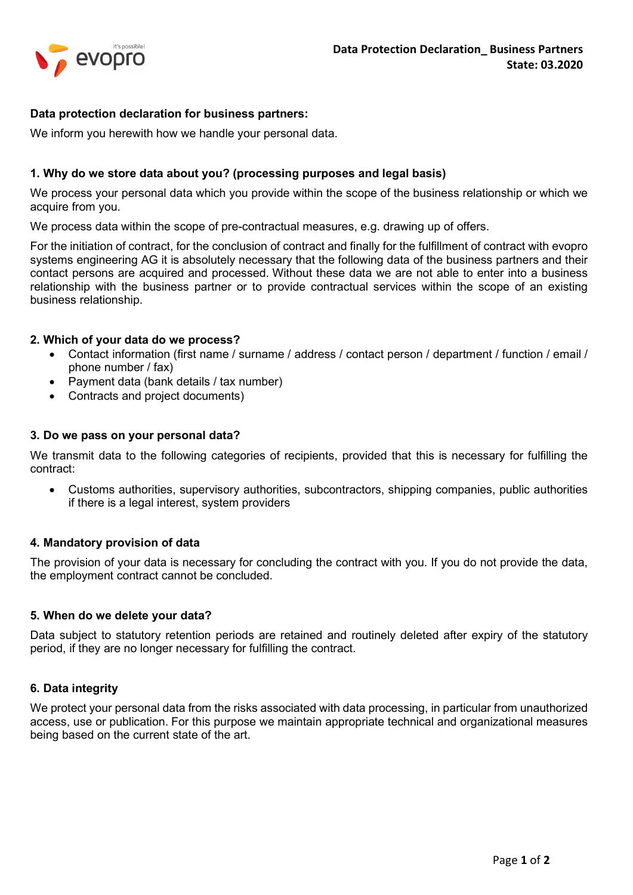

## Data protection declaration for business partners:

We inform you herewith how we handle your personal data.

## 1. Why do we store data about you? (processing purposes and legal basis)

We process your personal data which you provide within the scope of the business relationship or which we acquire from you.

We process data within the scope of pre-contractual measures, e.g. drawing up of offers.

For the initiation of contract, for the conclusion of contract and finally for the fulfillment of contract with evopro systems engineering AG it is absolutely necessary that the following data of the business partners and their contact persons are acquired and processed. Without these data we are not able to enter into a business relationship with the business partner or to provide contractual services within the scope of an existing business relationship.

#### 2. Which of your data do we process?

- Contact information (first name / surname / address / contact person / department / function / email / phone number / fax)
- Payment data (bank details / tax number)
- Contracts and project documents)

#### 3. Do we pass on your personal data?

We transmit data to the following categories of recipients, provided that this is necessary for fulfilling the contract:

 Customs authorities, supervisory authorities, subcontractors, shipping companies, public authorities if there is a legal interest, system providers

#### 4. Mandatory provision of data

The provision of your data is necessary for concluding the contract with you. If you do not provide the data, the employment contract cannot be concluded.

#### 5. When do we delete your data?

Data subject to statutory retention periods are retained and routinely deleted after expiry of the statutory period, if they are no longer necessary for fulfilling the contract.

#### 6. Data integrity

We protect your personal data from the risks associated with data processing, in particular from unauthorized access, use or publication. For this purpose we maintain appropriate technical and organizational measures being based on the current state of the art.